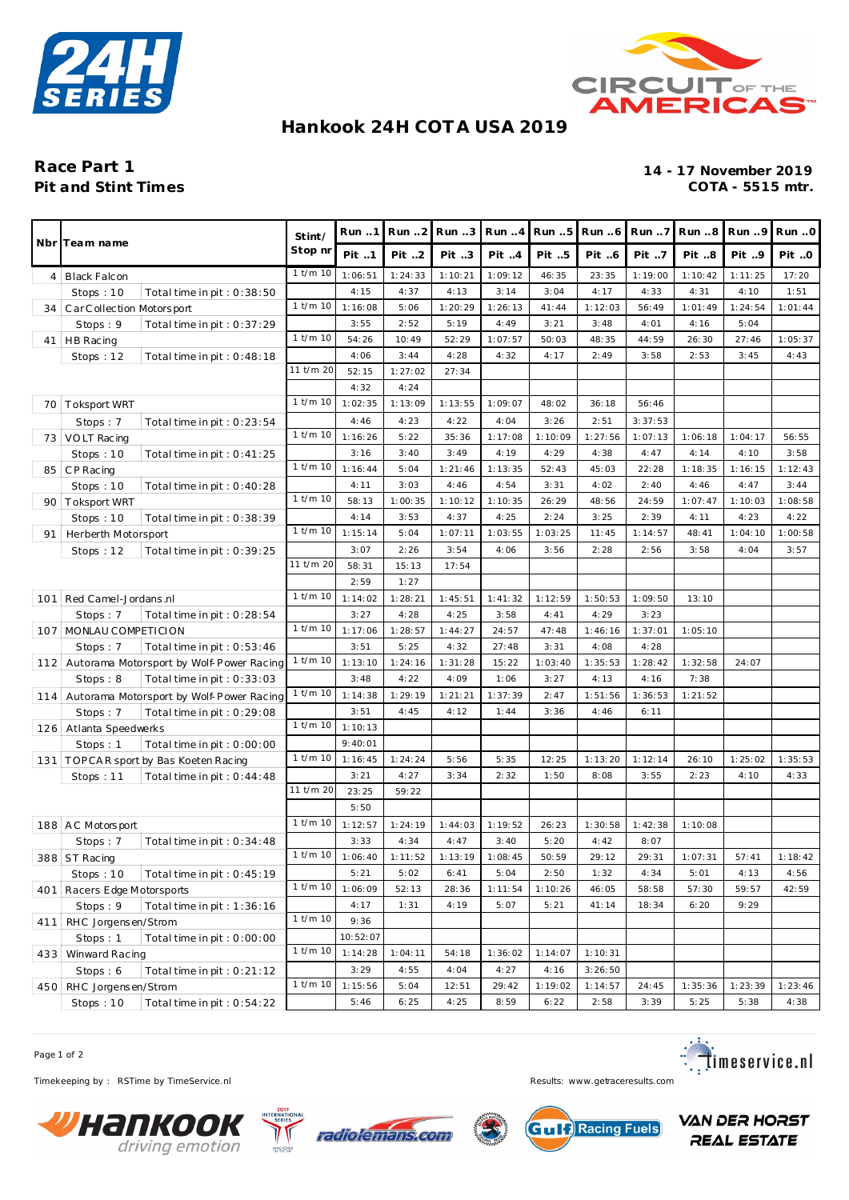



#### **Hankook 24H COT A USA 2019**

# **Pit and Stint Times**

## Race Part 1<br>
Pit and Stint Times<br>
Pit and Stint Times<br>
2019<br>
<sup>14 - 17 November 2019</sup>

|    | Nbr Team name                                  |              | Run 1    | Run.2             | Run.3   | Run 4   | Run 5   | Run 6   | Run 7   | Run 8   | Run 9   | Run.0   |
|----|------------------------------------------------|--------------|----------|-------------------|---------|---------|---------|---------|---------|---------|---------|---------|
|    |                                                |              | Pit 1    | Pit 2             | Pit 3   | Pit 4   | Pit 5   | Pit 6   | Pit 7   | Pit 8   | Pit 9   | Pit O   |
|    | 4   Black Falcon                               | $1$ t/m $10$ | 1:06:51  | 1:24:33           | 1:10:21 | 1:09:12 | 46:35   | 23:35   | 1:19:00 | 1:10:42 | 1:11:25 | 17:20   |
|    | Stops: $10$<br>Total time in pit : $0:38:50$   |              | 4:15     | 4:37              | 4:13    | 3:14    | 3:04    | 4:17    | 4:33    | 4:31    | 4:10    | 1:51    |
| 34 | CarCollection Motorsport                       | $1$ t/m $10$ | 1:16:08  | 5:06              | 1:20:29 | 1:26:13 | 41:44   | 1:12:03 | 56:49   | 1:01:49 | 1:24:54 | 1:01:44 |
|    | Stops: 9<br>Total time in pit: $0:37:29$       |              | 3:55     | 2:52              | 5:19    | 4:49    | 3:21    | 3:48    | 4:01    | 4:16    | 5:04    |         |
|    | 41   HB Racing                                 | 1 t/m 10     | 54:26    | 10:49             | 52:29   | 1:07:57 | 50:03   | 48:35   | 44:59   | 26:30   | 27:46   | 1:05:37 |
|    | Stops: 12<br>Total time in pit : $0:48:18$     |              | 4:06     | 3:44              | 4:28    | 4:32    | 4:17    | 2:49    | 3:58    | 2:53    | 3:45    | 4:43    |
|    |                                                | 11 t/m 20    | 52:15    | 1:27:02           | 27:34   |         |         |         |         |         |         |         |
|    |                                                |              | 4:32     | 4:24              |         |         |         |         |         |         |         |         |
|    | 70   Toksport WRT                              | $1$ t/m $10$ | 1:02:35  | 1:13:09           | 1:13:55 | 1:09:07 | 48:02   | 36:18   | 56:46   |         |         |         |
|    | Stops: 7<br>Total time in pit : $0:23:54$      |              | 4:46     | 4:23              | 4:22    | 4:04    | 3:26    | 2:51    | 3:37:53 |         |         |         |
|    | 73   VOLT Racing                               | $1$ t/m $10$ | 1:16:26  | 5:22              | 35:36   | 1:17:08 | 1:10:09 | 1:27:56 | 1:07:13 | 1:06:18 | 1:04:17 | 56:55   |
|    | Stops: 10<br>Total time in pit : $0:41:25$     |              | 3:16     | 3:40              | 3:49    | 4:19    | 4:29    | 4:38    | 4:47    | 4:14    | 4:10    | 3:58    |
| 85 | CP Racing                                      | $1$ t/m $10$ | 1:16:44  | 5:04              | 1:21:46 | 1:13:35 | 52:43   | 45:03   | 22:28   | 1:18:35 | 1:16:15 | 1:12:43 |
|    | Stops: 10<br>Total time in pit: 0:40:28        |              | 4:11     | 3:03              | 4:46    | 4:54    | 3:31    | 4:02    | 2:40    | 4:46    | 4:47    | 3:44    |
| 90 | <b>Toksport WRT</b>                            | $1$ t/m $10$ | 58:13    | 1:00:35           | 1:10:12 | 1:10:35 | 26:29   | 48:56   | 24:59   | 1:07:47 | 1:10:03 | 1:08:58 |
|    | Stops: 10<br>Total time in pit: 0:38:39        |              | 4:14     | 3:53              | 4:37    | 4:25    | 2:24    | 3:25    | 2:39    | 4:11    | 4:23    | 4:22    |
| 91 | Herberth Motorsport                            | $1$ t/m $10$ | 1:15:14  | 5:04              | 1:07:11 | 1:03:55 | 1:03:25 | 11:45   | 1:14:57 | 48:41   | 1:04:10 | 1:00:58 |
|    | Stops: $12$<br>Total time in pit : $0:39:25$   |              | 3:07     | 2:26              | 3:54    | 4:06    | 3:56    | 2:28    | 2:56    | 3:58    | 4:04    | 3:57    |
|    |                                                | 11 t/m 20    | 58:31    | 15:13             | 17:54   |         |         |         |         |         |         |         |
|    |                                                |              | 2:59     | 1:27              |         |         |         |         |         |         |         |         |
|    | 101 Red Camel-Jordans.nl                       | $1$ t/m $10$ | 1:14:02  | 1:28:21           | 1:45:51 | 1:41:32 | 1:12:59 | 1:50:53 | 1:09:50 | 13:10   |         |         |
|    | Stops: 7<br>Total time in pit : $0:28:54$      |              | 3:27     | 4:28              | 4:25    | 3:58    | 4:41    | 4:29    | 3:23    |         |         |         |
|    | 107   MONLAU COMPETICION                       | $1$ t/m $10$ | 1:17:06  | 1:28:57           | 1:44:27 | 24:57   | 47:48   | 1:46:16 | 1:37:01 | 1:05:10 |         |         |
|    | Stops: 7<br>Total time in pit: $0:53:46$       |              | 3:51     | 5:25              | 4:32    | 27:48   | 3:31    | 4:08    | 4:28    |         |         |         |
|    | 112 Autorama Motorsport by Wolf-Power Racing   | $1$ t/m $10$ | 1:13:10  | 1:24:16           | 1:31:28 | 15:22   | 1:03:40 | 1:35:53 | 1:28:42 | 1:32:58 | 24:07   |         |
|    | Stops: 8<br>Total time in pit : $0:33:03$      |              | 3:48     | 4:22              | 4:09    | 1:06    | 3:27    | 4:13    | 4:16    | 7:38    |         |         |
|    | 114   Autorama Motorsport by Wolf-Power Racing | $1$ t/m $10$ | 1:14:38  | 1:29:19           | 1:21:21 | 1:37:39 | 2:47    | 1:51:56 | 1:36:53 | 1:21:52 |         |         |
|    | Stops: 7<br>Total time in pit: 0:29:08         |              | 3:51     | 4:45              | 4:12    | 1:44    | 3:36    | 4:46    | 6:11    |         |         |         |
|    | 126 Atlanta Speedwerks                         | $1$ t/m $10$ | 1:10:13  |                   |         |         |         |         |         |         |         |         |
|    | Stops: 1<br>Total time in pit: 0:00:00         |              | 9:40:01  |                   |         |         |         |         |         |         |         |         |
|    | 131   TOPCAR sport by Bas Koeten Racing        | $1$ t/m $10$ | 1:16:45  | 1:24:24           | 5:56    | 5:35    | 12:25   | 1:13:20 | 1:12:14 | 26:10   | 1:25:02 | 1:35:53 |
|    | Stops: $11$<br>Total time in pit: $0:44:48$    | 11 t/m 20    | 3:21     | 4:27              | 3:34    | 2:32    | 1:50    | 8:08    | 3:55    | 2:23    | 4:10    | 4:33    |
|    |                                                |              | 23:25    | 59:22             |         |         |         |         |         |         |         |         |
|    |                                                | $1$ t/m $10$ | 5:50     |                   |         |         |         |         |         |         |         |         |
|    | 188 AC Motorsport                              |              | 1:12:57  | 1:24:19           | 1:44:03 | 1:19:52 | 26:23   | 1:30:58 | 1:42:38 | 1:10:08 |         |         |
|    | Stops: 7<br>Total time in pit : $0:34:48$      | $1$ t/m $10$ | 3:33     | 4:34              | 4:47    | 3:40    | 5:20    | 4:42    | 8:07    |         |         |         |
|    | $388$ ST Racing                                |              |          | $1:06:40$ 1:11:52 | 1:13:19 | 1:08:45 | 50:59   | 29:12   | 29:31   | 1:07:31 | 57:41   | 1:18:42 |
|    | Stops: $10$<br>Total time in pit : $0:45:19$   | $1$ t/m $10$ | 5:21     | 5:02              | 6:41    | 5:04    | 2:50    | 1:32    | 4:34    | 5:01    | 4:13    | 4:56    |
|    | 401   Racers Edge Motorsports                  |              | 1:06:09  | 52:13             | 28:36   | 1:11:54 | 1:10:26 | 46:05   | 58:58   | 57:30   | 59:57   | 42:59   |
|    | Stops: 9<br>Total time in pit : $1:36:16$      | $1$ t/m $10$ | 4:17     | 1:31              | 4:19    | 5:07    | 5:21    | 41:14   | 18:34   | 6:20    | 9:29    |         |
|    | 411 RHC Jorgensen/Strom                        |              | 9:36     |                   |         |         |         |         |         |         |         |         |
|    | Stops: 1<br>Total time in pit: 0:00:00         | $1$ t/m $10$ | 10:52:07 |                   |         |         |         |         |         |         |         |         |
|    | 433 Winward Racing                             |              | 1:14:28  | 1:04:11           | 54:18   | 1:36:02 | 1:14:07 | 1:10:31 |         |         |         |         |
|    | Stops: 6<br>Total time in pit: $0:21:12$       |              | 3:29     | 4:55              | 4:04    | 4:27    | 4:16    | 3:26:50 |         |         |         |         |
|    | 450 RHC Jorgensen/Strom                        | 1 t/m 10     | 1:15:56  | 5:04              | 12:51   | 29:42   | 1:19:02 | 1:14:57 | 24:45   | 1:35:36 | 1:23:39 | 1:23:46 |
|    | Total time in pit: 0:54:22<br>Stops: 10        |              | 5:46     | 6:25              | 4:25    | 8:59    | 6:22    | 2:58    | 3:39    | 5:25    | 5:38    | 4:38    |

Page 1 of 2

Timekeeping by : RSTime by TimeService.nl **Results:** www.getraceresults.com









**VAN DER HORST REAL ESTATE**